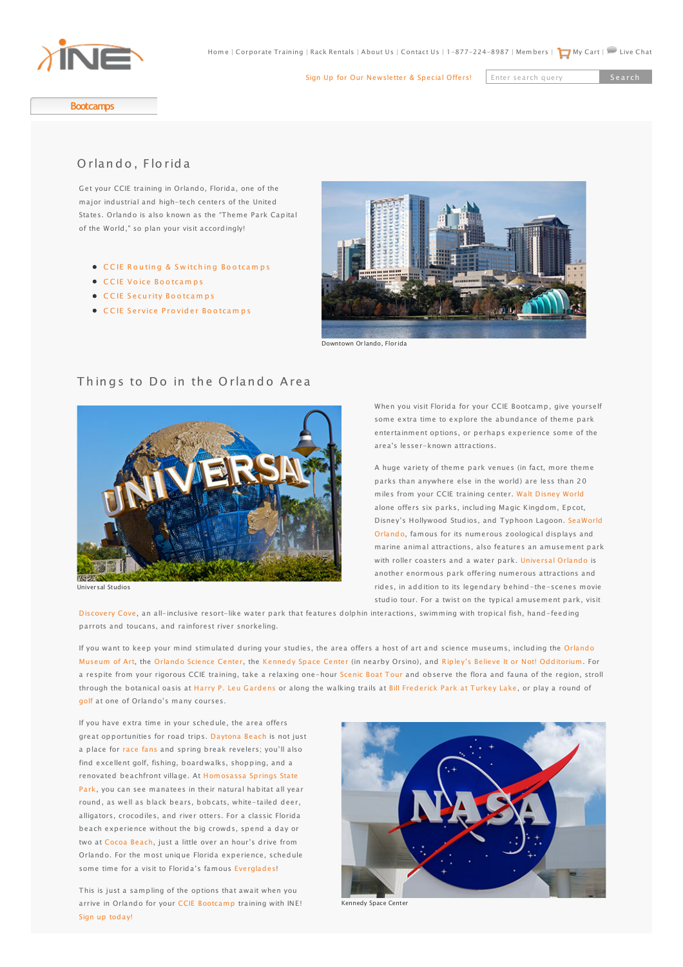

[Sign Up for Our Newsletter & Special Offers!](http://www.ine.com/email/index.php)

Enter search query

<span id="page-0-0"></span>**[Bootcamps](http://www.ine.com/instructor-led/bootcamps.htm)**

# [O rlan d o , Fl](http://www.ine.com/instructor-led/ccie-routing-switching/bootcamps.htm)[o](http://www.ine.com/instructor-led/ccie-routing-switching/bootcamps/ccie-routing-switching-10-day-bootcamp-course.htm) rid a

[Get your CCIE training](http://www.ine.com/instructor-led/ccie-routing-switching/bootcamps/ccie-routing-switching-troubleshooting-bootcamp.htm) in Orlando, Florida, one of the major industrial and high-tech centers of the United [States. Orlando is also](http://www.ine.com/instructor-led/ccie-data-center-bootcamps.htm) known as the "Theme Park Capital of the World," so plan your visit accordingly!

- •CCIE Routin[g](http://www.ine.com/instructor-led/ccie-security/bootcamps.htm) & Switching Bootcamps
- C C IE Voice Bootcamps
- [C](http://www.ine.com/instructor-led/ccie-security/bootcamps.htm)CIE[S](http://www.ine.com/instructor-led/ccie-security/bootcamps.htm)[e](http://www.ine.com/instructor-led/ccie-security/bootcamps.htm)curity Bootcamps
- $\bullet$  CCIE Service Provider Bootcamps



Downtown Orlando, Florida

## [T](http://www.ine.com/resources/)hingsto Do in t[h](http://www.ine.com/resources/)e Orlando A[rea](http://www.ine.com/self-paced/technologies/security-primers.htm)



[Universal Studios](http://www.ine.com/self-paced/ccie-security/workbooks.htm)

[When yo](http://www.ine.com/self-paced/technologies/ucs-voice-primer.htm)u visit Florida for your CCIE Bootcamp, give yourself [some e](http://www.ine.com/self-paced/ccie-routing-switching/bootcamps/ccie-routing-switching-deep-dive-security-courses.htm)xtra time to explore the abundance of theme park [entertai](http://www.ine.com/self-paced/ccie-routing-switching/bootcamps/ccie-routing-switching-deep-dive-multicast-courses.htm)nment options, or perhaps experience some of the [area's l](http://www.ine.com/self-paced/technologies/networking-fundamentals.htm)esser-known attractions.

A huge variety of theme park venues (in fact, more theme parks than anywhere else in the world) are less than 20 [miles fr](http://www.ine.com/self-paced/ccnp/bootcamps/ccnp-routing-switching-course.htm)om your CCIE training center. [Walt Disney World](https://disneyworld.disney.go.com/) [alone o](http://www.ine.com/self-paced/ccnp/bootcamps/ccnp-routing-switching-course.htm)ffers six parks, including Magic Kingdom, Epcot, [Disney's Hollywood Studios, and Typhoon Lagoon. SeaWorld](http://seaworldparks.com/seaworld-orlando) [Orlando](http://www.ine.com/self-paced/ccna/bootcamps.htm), famous for its numerous zoological displays and [marine](http://www.ine.com/self-paced/ccna-wireless/bootcamps.htm) animal attractions, also features an amusement park with roller coasters and a water park. [Universal Orlando](http://www.universalorlando.com) is [another](http://www.ine.com/self-paced/ccna-security/bootcamps.htm) enormous park offering numerous attractions and rides, in addition to its legendary behind-the-scenes movie studio tour. For a twist on the typical amusement park, visit

[Discovery Cove](http://www.discoverycove.com/)[, an a](http://www.ine.com/ccie-security-lab-preparation.htm)ll-[inclusive resort-like water pa](http://www.ine.com/self-paced/mobile-ine.htm#hd)rk t[hat features dolphin interactio](http://www.ine.com/corporate-training-packages.htm)ns, swimming with tropical fish, hand-feeding [parrots and toucan](http://www.ine.com/self-paced/ccie-service-provider.htm)[s](http://www.ine.com/self-paced/ccie-service-provider/bootcamps/ccie-service-provider-advanced-technologies-class.htm), and rainforest river snorkeling.

[If you want to keep](http://www.ine.com/self-paced/ccie-service-provider/workbooks.htm) [your mind stimulated during your studies, the area offers a host of art and science museums, including the Orlando](http://www.omart.org/) [Museum of Art, the](http://www.ine.com/ccie-service-provider-lab-preparation.htm) [Orlando Science Center](http://www.osc.org/), the [Kennedy Space Center](http://www.kennedyspacecenter.com/) (in nearby Orsino), and [Ripley's Believe It or Not! Odditorium](http://www.ripleys.com/orlando/). For a respite from your rigorous CCIE training, take a relaxing one-hour [Scenic Boat Tour](http://www.scenicboattours.com/home.htm) and observe the flora and fauna of the region, stroll through the botanical oasis at [Harry P. Leu Gardens](http://www.leugardens.org/) or along the walking trails at [Bill Frederick Park at Turkey Lake](http://www.cityoforlando.net/fpr/Html/Parks/BillFrederick.htm), or play a round of [golf](http://www.golflink.com/golf-courses/city.aspx?dest=orlando+FL) at one of Orlando's many courses.

If you have extra time in your schedule, the area offers great opportunities for road trips. [Daytona Beach](http://daytonabeach.com/whattosee.cfm) is not just a place for [race fans](http://www.daytonainternationalspeedway.com) and spring break revelers; you'll also find excellent golf, fishing, boardwalks, shopping, and a [renovated beachfront village. At Homosassa Springs State](http://www.floridastateparks.org/homosassasprings/) Park, you can see manatees in their natural habitat all year round, as well as black bears, bobcats, white-tailed deer, alligators, crocodiles, and river otters. For a classic Florida beach experience without the big crowds, spend a day or two at [Cocoa Beach](http://visitcocoabeach.com/), just a little over an hour's drive from Orlando. For the most unique Florida experience, schedule some time for a visit to Florida's famous [Everglades](http://www.viator.com/Orlando-tourism/Everglades-Tours-tours-tickets/d663-t116)!

This is just a sampling of the options that await when you arrive in Orlando for your [CCIE Bootcamp](http://www.ine.com/instructor-led/ccie-routing-switching/bootcamps.htm) training with INE! [Sign up today!](http://www.ine.com/instructor-led/ccie-routing-switching/bootcamps/ccie-routing-switching-10-day-bootcamp-course.htm)



Kennedy Space Center